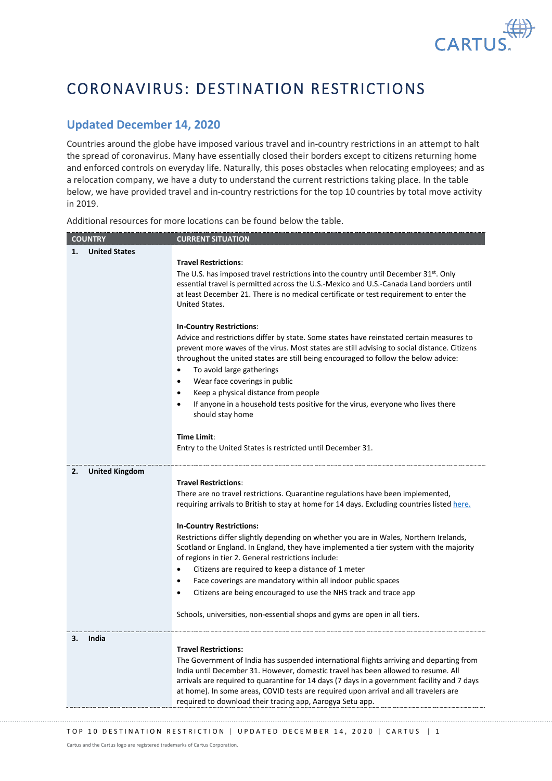

## CORONAVIRUS: DESTINATION RESTRICTIONS

## **Updated December 14, 2020**

Countries around the globe have imposed various travel and in-country restrictions in an attempt to halt the spread of coronavirus. Many have essentially closed their borders except to citizens returning home and enforced controls on everyday life. Naturally, this poses obstacles when relocating employees; and as a relocation company, we have a duty to understand the current restrictions taking place. In the table below, we have provided travel and in-country restrictions for the top 10 countries by total move activity in 2019.

Additional resources for more locations can be found below the table.

| <b>COUNTRY</b>              | <b>CURRENT SITUATION</b>                                                                                                                                                                                                                                                                                                                                                                                                                           |
|-----------------------------|----------------------------------------------------------------------------------------------------------------------------------------------------------------------------------------------------------------------------------------------------------------------------------------------------------------------------------------------------------------------------------------------------------------------------------------------------|
| <b>United States</b><br>1.  |                                                                                                                                                                                                                                                                                                                                                                                                                                                    |
|                             | <b>Travel Restrictions:</b><br>The U.S. has imposed travel restrictions into the country until December $31^{st}$ . Only<br>essential travel is permitted across the U.S.-Mexico and U.S.-Canada Land borders until<br>at least December 21. There is no medical certificate or test requirement to enter the<br>United States.                                                                                                                    |
|                             | <b>In-Country Restrictions:</b><br>Advice and restrictions differ by state. Some states have reinstated certain measures to<br>prevent more waves of the virus. Most states are still advising to social distance. Citizens<br>throughout the united states are still being encouraged to follow the below advice:<br>To avoid large gatherings<br>Wear face coverings in public<br>$\bullet$<br>Keep a physical distance from people<br>$\bullet$ |
|                             | If anyone in a household tests positive for the virus, everyone who lives there<br>$\bullet$<br>should stay home                                                                                                                                                                                                                                                                                                                                   |
|                             | Time Limit:<br>Entry to the United States is restricted until December 31.                                                                                                                                                                                                                                                                                                                                                                         |
| 2.<br><b>United Kingdom</b> |                                                                                                                                                                                                                                                                                                                                                                                                                                                    |
|                             | <b>Travel Restrictions:</b><br>There are no travel restrictions. Quarantine regulations have been implemented,<br>requiring arrivals to British to stay at home for 14 days. Excluding countries listed here.                                                                                                                                                                                                                                      |
|                             | <b>In-Country Restrictions:</b>                                                                                                                                                                                                                                                                                                                                                                                                                    |
|                             | Restrictions differ slightly depending on whether you are in Wales, Northern Irelands,<br>Scotland or England. In England, they have implemented a tier system with the majority<br>of regions in tier 2. General restrictions include:                                                                                                                                                                                                            |
|                             | Citizens are required to keep a distance of 1 meter<br>$\bullet$                                                                                                                                                                                                                                                                                                                                                                                   |
|                             | Face coverings are mandatory within all indoor public spaces<br>$\bullet$                                                                                                                                                                                                                                                                                                                                                                          |
|                             | Citizens are being encouraged to use the NHS track and trace app<br>$\bullet$                                                                                                                                                                                                                                                                                                                                                                      |
|                             | Schools, universities, non-essential shops and gyms are open in all tiers.                                                                                                                                                                                                                                                                                                                                                                         |
| India<br>З.                 | <b>Travel Restrictions:</b><br>The Government of India has suspended international flights arriving and departing from<br>India until December 31. However, domestic travel has been allowed to resume. All<br>arrivals are required to quarantine for 14 days (7 days in a government facility and 7 days<br>at home). In some areas, COVID tests are required upon arrival and all travelers are                                                 |

required to download their tracing app, Aarogya Setu app.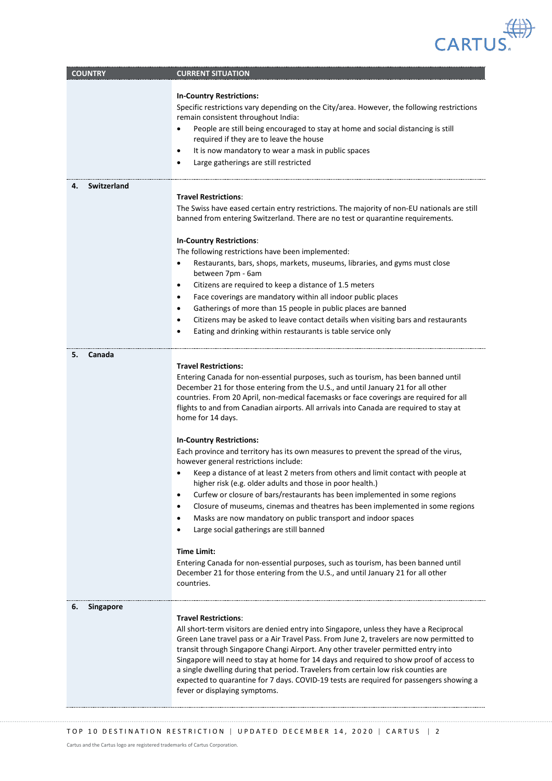

| <b>COUNTRY</b>         | <b>CURRENT SITUATION</b>                                                                                                                                                                                                                                                                                                                                                                                                                                                                                                                                                                                            |
|------------------------|---------------------------------------------------------------------------------------------------------------------------------------------------------------------------------------------------------------------------------------------------------------------------------------------------------------------------------------------------------------------------------------------------------------------------------------------------------------------------------------------------------------------------------------------------------------------------------------------------------------------|
|                        |                                                                                                                                                                                                                                                                                                                                                                                                                                                                                                                                                                                                                     |
|                        | <b>In-Country Restrictions:</b><br>Specific restrictions vary depending on the City/area. However, the following restrictions<br>remain consistent throughout India:                                                                                                                                                                                                                                                                                                                                                                                                                                                |
|                        | People are still being encouraged to stay at home and social distancing is still<br>٠<br>required if they are to leave the house                                                                                                                                                                                                                                                                                                                                                                                                                                                                                    |
|                        | It is now mandatory to wear a mask in public spaces<br>$\bullet$                                                                                                                                                                                                                                                                                                                                                                                                                                                                                                                                                    |
|                        | Large gatherings are still restricted<br>$\bullet$                                                                                                                                                                                                                                                                                                                                                                                                                                                                                                                                                                  |
| Switzerland<br>4.      | <b>Travel Restrictions:</b>                                                                                                                                                                                                                                                                                                                                                                                                                                                                                                                                                                                         |
|                        | The Swiss have eased certain entry restrictions. The majority of non-EU nationals are still<br>banned from entering Switzerland. There are no test or quarantine requirements.                                                                                                                                                                                                                                                                                                                                                                                                                                      |
|                        | <b>In-Country Restrictions:</b>                                                                                                                                                                                                                                                                                                                                                                                                                                                                                                                                                                                     |
|                        | The following restrictions have been implemented:                                                                                                                                                                                                                                                                                                                                                                                                                                                                                                                                                                   |
|                        | Restaurants, bars, shops, markets, museums, libraries, and gyms must close<br>between 7pm - 6am                                                                                                                                                                                                                                                                                                                                                                                                                                                                                                                     |
|                        | Citizens are required to keep a distance of 1.5 meters<br>$\bullet$                                                                                                                                                                                                                                                                                                                                                                                                                                                                                                                                                 |
|                        | Face coverings are mandatory within all indoor public places<br>$\bullet$                                                                                                                                                                                                                                                                                                                                                                                                                                                                                                                                           |
|                        | Gatherings of more than 15 people in public places are banned<br>٠                                                                                                                                                                                                                                                                                                                                                                                                                                                                                                                                                  |
|                        | Citizens may be asked to leave contact details when visiting bars and restaurants<br>٠                                                                                                                                                                                                                                                                                                                                                                                                                                                                                                                              |
|                        | Eating and drinking within restaurants is table service only<br>٠                                                                                                                                                                                                                                                                                                                                                                                                                                                                                                                                                   |
| 5.<br>Canada           |                                                                                                                                                                                                                                                                                                                                                                                                                                                                                                                                                                                                                     |
|                        | <b>Travel Restrictions:</b><br>Entering Canada for non-essential purposes, such as tourism, has been banned until<br>December 21 for those entering from the U.S., and until January 21 for all other<br>countries. From 20 April, non-medical facemasks or face coverings are required for all<br>flights to and from Canadian airports. All arrivals into Canada are required to stay at<br>home for 14 days.                                                                                                                                                                                                     |
|                        |                                                                                                                                                                                                                                                                                                                                                                                                                                                                                                                                                                                                                     |
|                        | <b>In-Country Restrictions:</b><br>Each province and territory has its own measures to prevent the spread of the virus,<br>however general restrictions include:                                                                                                                                                                                                                                                                                                                                                                                                                                                    |
|                        | Keep a distance of at least 2 meters from others and limit contact with people at<br>٠<br>higher risk (e.g. older adults and those in poor health.)                                                                                                                                                                                                                                                                                                                                                                                                                                                                 |
|                        | Curfew or closure of bars/restaurants has been implemented in some regions<br>$\bullet$                                                                                                                                                                                                                                                                                                                                                                                                                                                                                                                             |
|                        | Closure of museums, cinemas and theatres has been implemented in some regions<br>$\bullet$                                                                                                                                                                                                                                                                                                                                                                                                                                                                                                                          |
|                        | Masks are now mandatory on public transport and indoor spaces<br>$\bullet$<br>Large social gatherings are still banned                                                                                                                                                                                                                                                                                                                                                                                                                                                                                              |
|                        | <b>Time Limit:</b>                                                                                                                                                                                                                                                                                                                                                                                                                                                                                                                                                                                                  |
|                        | Entering Canada for non-essential purposes, such as tourism, has been banned until<br>December 21 for those entering from the U.S., and until January 21 for all other<br>countries.                                                                                                                                                                                                                                                                                                                                                                                                                                |
| 6.<br><b>Singapore</b> | <b>Travel Restrictions:</b><br>All short-term visitors are denied entry into Singapore, unless they have a Reciprocal<br>Green Lane travel pass or a Air Travel Pass. From June 2, travelers are now permitted to<br>transit through Singapore Changi Airport. Any other traveler permitted entry into<br>Singapore will need to stay at home for 14 days and required to show proof of access to<br>a single dwelling during that period. Travelers from certain low risk counties are<br>expected to quarantine for 7 days. COVID-19 tests are required for passengers showing a<br>fever or displaying symptoms. |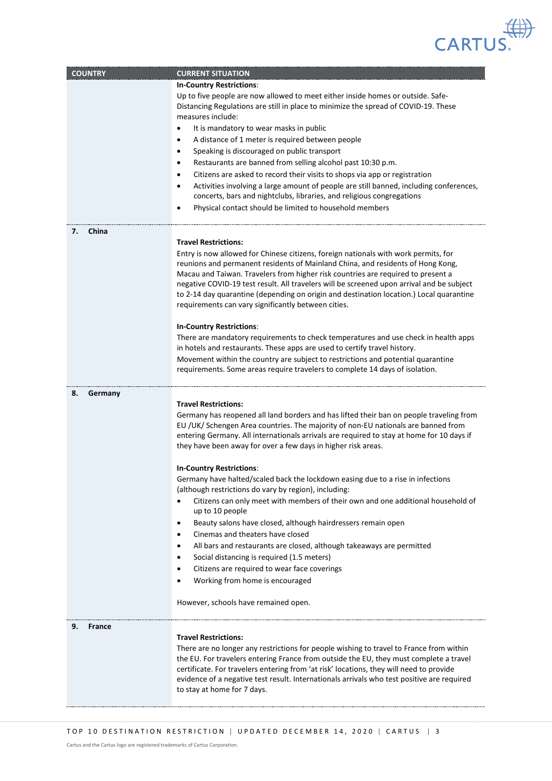

| <b>COUNTRY</b>      | <b>CURRENT SITUATION</b><br><b>In-Country Restrictions:</b>                                                                                                                                                                                                                                                                                                                |
|---------------------|----------------------------------------------------------------------------------------------------------------------------------------------------------------------------------------------------------------------------------------------------------------------------------------------------------------------------------------------------------------------------|
|                     | Up to five people are now allowed to meet either inside homes or outside. Safe-<br>Distancing Regulations are still in place to minimize the spread of COVID-19. These                                                                                                                                                                                                     |
|                     | measures include:                                                                                                                                                                                                                                                                                                                                                          |
|                     | It is mandatory to wear masks in public<br>$\bullet$                                                                                                                                                                                                                                                                                                                       |
|                     | A distance of 1 meter is required between people<br>٠                                                                                                                                                                                                                                                                                                                      |
|                     | Speaking is discouraged on public transport<br>$\bullet$                                                                                                                                                                                                                                                                                                                   |
|                     | Restaurants are banned from selling alcohol past 10:30 p.m.<br>$\bullet$                                                                                                                                                                                                                                                                                                   |
|                     | Citizens are asked to record their visits to shops via app or registration<br>٠                                                                                                                                                                                                                                                                                            |
|                     | Activities involving a large amount of people are still banned, including conferences,<br>٠<br>concerts, bars and nightclubs, libraries, and religious congregations<br>Physical contact should be limited to household members<br>٠                                                                                                                                       |
|                     |                                                                                                                                                                                                                                                                                                                                                                            |
| China<br>7.         | <b>Travel Restrictions:</b>                                                                                                                                                                                                                                                                                                                                                |
|                     | Entry is now allowed for Chinese citizens, foreign nationals with work permits, for<br>reunions and permanent residents of Mainland China, and residents of Hong Kong,<br>Macau and Taiwan. Travelers from higher risk countries are required to present a                                                                                                                 |
|                     | negative COVID-19 test result. All travelers will be screened upon arrival and be subject<br>to 2-14 day quarantine (depending on origin and destination location.) Local quarantine<br>requirements can vary significantly between cities.                                                                                                                                |
|                     | <b>In-Country Restrictions:</b>                                                                                                                                                                                                                                                                                                                                            |
|                     | There are mandatory requirements to check temperatures and use check in health apps                                                                                                                                                                                                                                                                                        |
|                     | in hotels and restaurants. These apps are used to certify travel history.                                                                                                                                                                                                                                                                                                  |
|                     | Movement within the country are subject to restrictions and potential quarantine<br>requirements. Some areas require travelers to complete 14 days of isolation.                                                                                                                                                                                                           |
| 8.<br>Germany       |                                                                                                                                                                                                                                                                                                                                                                            |
|                     | <b>Travel Restrictions:</b><br>Germany has reopened all land borders and has lifted their ban on people traveling from                                                                                                                                                                                                                                                     |
|                     | EU /UK/ Schengen Area countries. The majority of non-EU nationals are banned from<br>entering Germany. All internationals arrivals are required to stay at home for 10 days if<br>they have been away for over a few days in higher risk areas.                                                                                                                            |
|                     | <b>In-Country Restrictions:</b>                                                                                                                                                                                                                                                                                                                                            |
|                     | Germany have halted/scaled back the lockdown easing due to a rise in infections<br>(although restrictions do vary by region), including:                                                                                                                                                                                                                                   |
|                     | Citizens can only meet with members of their own and one additional household of<br>up to 10 people                                                                                                                                                                                                                                                                        |
|                     | Beauty salons have closed, although hairdressers remain open<br>$\bullet$                                                                                                                                                                                                                                                                                                  |
|                     | Cinemas and theaters have closed<br>$\bullet$                                                                                                                                                                                                                                                                                                                              |
|                     | All bars and restaurants are closed, although takeaways are permitted<br>٠                                                                                                                                                                                                                                                                                                 |
|                     | Social distancing is required (1.5 meters)<br>٠                                                                                                                                                                                                                                                                                                                            |
|                     | Citizens are required to wear face coverings                                                                                                                                                                                                                                                                                                                               |
|                     | Working from home is encouraged                                                                                                                                                                                                                                                                                                                                            |
|                     | However, schools have remained open.                                                                                                                                                                                                                                                                                                                                       |
| 9.<br><b>France</b> |                                                                                                                                                                                                                                                                                                                                                                            |
|                     | <b>Travel Restrictions:</b>                                                                                                                                                                                                                                                                                                                                                |
|                     | There are no longer any restrictions for people wishing to travel to France from within<br>the EU. For travelers entering France from outside the EU, they must complete a travel<br>certificate. For travelers entering from 'at risk' locations, they will need to provide<br>evidence of a negative test result. Internationals arrivals who test positive are required |
|                     | to stay at home for 7 days.                                                                                                                                                                                                                                                                                                                                                |